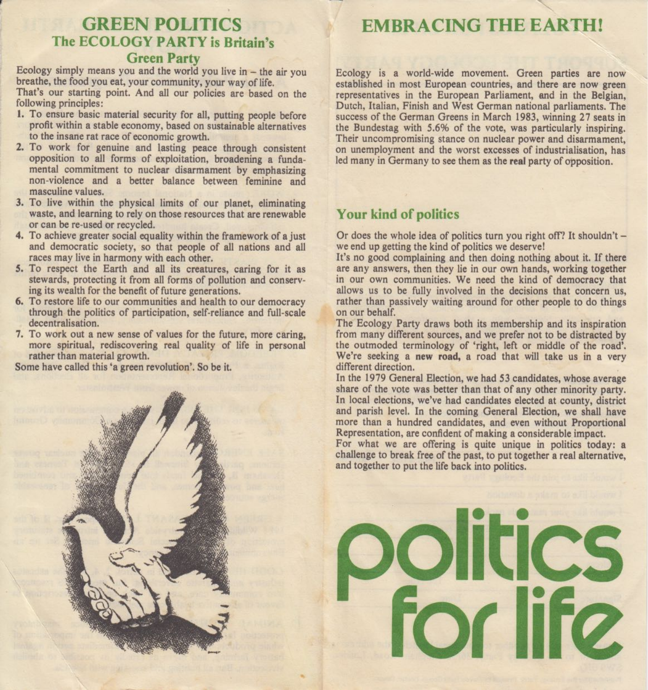# GREEN POLITICS The ECOLOGY PARTY is Britain's

## Green Party

Ecology simply means you and the world you live in  $-$  the air you breathe, the food you eat, your community, your way of life. That's our starting point. And all our policies are based on the following principles:

- I. To ensure basic material security for all, putting people before profit within a stable economy, based on sustainable alternatives to the insane rat race of economic growth.
- . To work for genuine and lasting peace through consistent opposition to all forms of exploitation, broadening a fundamental commitment to nuclear disarmament by emphasizing non-violence and a better balance between feminine and masculine values.
- 3. To live within the physical limits of our planet, eliminating waste, and learning to rely on those resources that are renewable or can be re-used or recycled.
- . To achieve greater social equality within the framework of a just and democratic society, so that people of all nations and all races may live in harmony with each other.
- 5. To respect the Earth and all its creatures, caring for it as stewards, protecting it from all forms of pollution and conserving its wealth for the benefit of future generations.
- 6. To restore life to our communities and health to our democracy through the politics of participation, self-reliance and full-scale decentralisation.
- 7. To work out a new sense of values for the future, more caring, more spiritual, rediscovering real quality of life in personal rather than material growth. .

Some have called this 'a green revolution'. So be it.

# EMBRACING THE EARTH!

 $\ddot{\phantom{0}}$ 

Ecology is a world-wide movement. Green parties are now established in most European countries, and there are now green representatives in the European Parliament, and in the Belgian, Dutch, Italian, Finish and West German national parliaments. The success of the German Greens in March 1983, winning 27 seats in the Bundestag with 5.6% of the vote, was particularly inspiring. Their uncompromising stance on nuclear power and disarmament, on unemployment and the worst excesses of industrialisation, has led many in Germany to see them as the real party of opposition.

## Your kind of politics

Or does the whole idea of politics turn you right off? It shouldn't we end up getting the kind of politics we deserve!

It's no good complaining and then doing nothing about it. If there are any answers, then they lie in our own hands, working together in our own communities. We need the kind of democracy that allows us to be fully involved in the decisions that concern us, rather than passively waiting around for other people to do things on our behalf.

The Ecology Party draws both its membership and its inspiration from many different sources, and we prefer not to be distracted by the outmoded terminology of 'right, left or middle of the road'. We're seeking a new road, a road that will take us in a very different direction.

In the 1979 General Election, we had 53 candidates, whose average share of the vote was better than that of any other minority party. In local elections, we've had candidates elected at county, district and parish level. In the coming General Election, we shall have more than a hundred candidates, and even without Proportional Representation, are confident of making a considerable impact.

For what we are offering is quite unique in politics today: a challenge to break free of the past, to put together a real alternative, and together to put the life back into politics.

# **Olitics Properties**